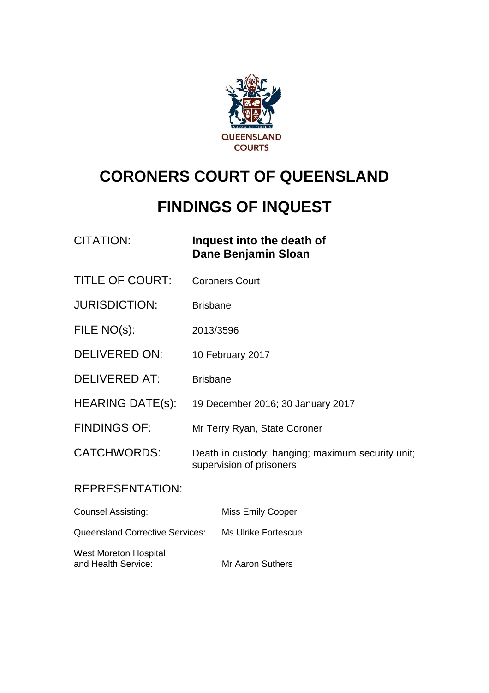

# **CORONERS COURT OF QUEENSLAND**

# **FINDINGS OF INQUEST**

| CITATION: | Inquest into the death of |
|-----------|---------------------------|
|           | Dane Benjamin Sloan       |
|           |                           |

- TITLE OF COURT: Coroners Court
- JURISDICTION: Brisbane
- FILE NO(s): 2013/3596
- DELIVERED ON: 10 February 2017
- DELIVERED AT: Brisbane
- HEARING DATE(s): 19 December 2016; 30 January 2017
- FINDINGS OF: Mr Terry Ryan, State Coroner
- CATCHWORDS: Death in custody; hanging; maximum security unit; supervision of prisoners

#### REPRESENTATION:

| <b>Counsel Assisting:</b>                           | Miss Emily Cooper       |
|-----------------------------------------------------|-------------------------|
| <b>Queensland Corrective Services:</b>              | Ms Ulrike Fortescue     |
| <b>West Moreton Hospital</b><br>and Health Service: | <b>Mr Aaron Suthers</b> |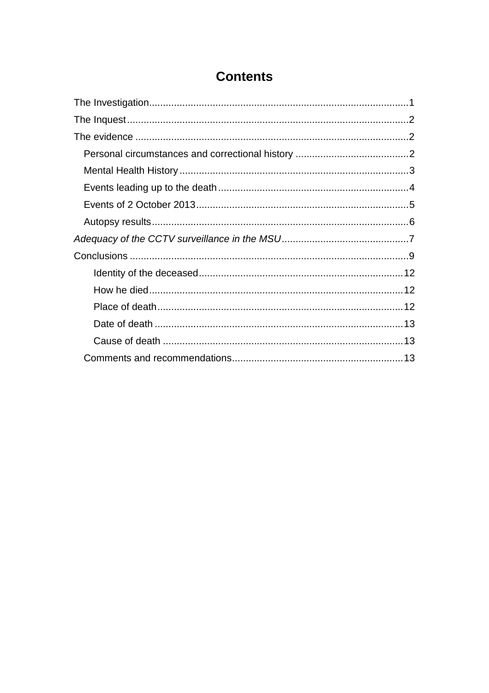### **Contents**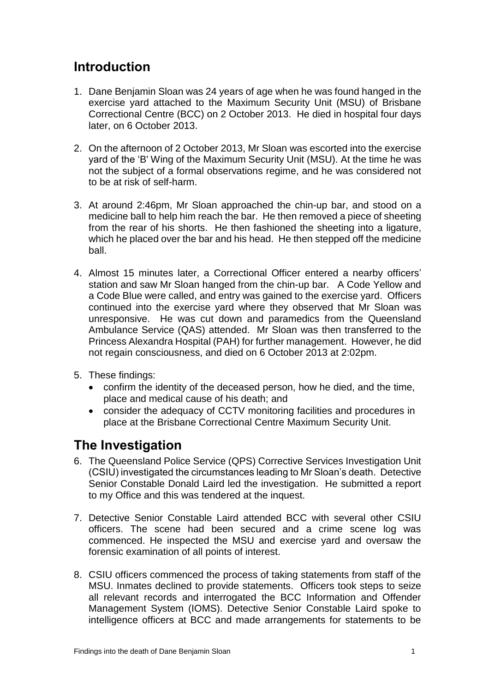### **Introduction**

- 1. Dane Benjamin Sloan was 24 years of age when he was found hanged in the exercise yard attached to the Maximum Security Unit (MSU) of Brisbane Correctional Centre (BCC) on 2 October 2013. He died in hospital four days later, on 6 October 2013.
- 2. On the afternoon of 2 October 2013, Mr Sloan was escorted into the exercise yard of the 'B' Wing of the Maximum Security Unit (MSU). At the time he was not the subject of a formal observations regime, and he was considered not to be at risk of self-harm.
- 3. At around 2:46pm, Mr Sloan approached the chin-up bar, and stood on a medicine ball to help him reach the bar. He then removed a piece of sheeting from the rear of his shorts. He then fashioned the sheeting into a ligature, which he placed over the bar and his head. He then stepped off the medicine ball.
- 4. Almost 15 minutes later, a Correctional Officer entered a nearby officers' station and saw Mr Sloan hanged from the chin-up bar. A Code Yellow and a Code Blue were called, and entry was gained to the exercise yard. Officers continued into the exercise yard where they observed that Mr Sloan was unresponsive. He was cut down and paramedics from the Queensland Ambulance Service (QAS) attended. Mr Sloan was then transferred to the Princess Alexandra Hospital (PAH) for further management. However, he did not regain consciousness, and died on 6 October 2013 at 2:02pm.
- 5. These findings:
	- confirm the identity of the deceased person, how he died, and the time, place and medical cause of his death; and
	- consider the adequacy of CCTV monitoring facilities and procedures in place at the Brisbane Correctional Centre Maximum Security Unit.

## <span id="page-2-0"></span>**The Investigation**

- 6. The Queensland Police Service (QPS) Corrective Services Investigation Unit (CSIU) investigated the circumstances leading to Mr Sloan's death. Detective Senior Constable Donald Laird led the investigation. He submitted a report to my Office and this was tendered at the inquest.
- 7. Detective Senior Constable Laird attended BCC with several other CSIU officers. The scene had been secured and a crime scene log was commenced. He inspected the MSU and exercise yard and oversaw the forensic examination of all points of interest.
- 8. CSIU officers commenced the process of taking statements from staff of the MSU. Inmates declined to provide statements. Officers took steps to seize all relevant records and interrogated the BCC Information and Offender Management System (IOMS). Detective Senior Constable Laird spoke to intelligence officers at BCC and made arrangements for statements to be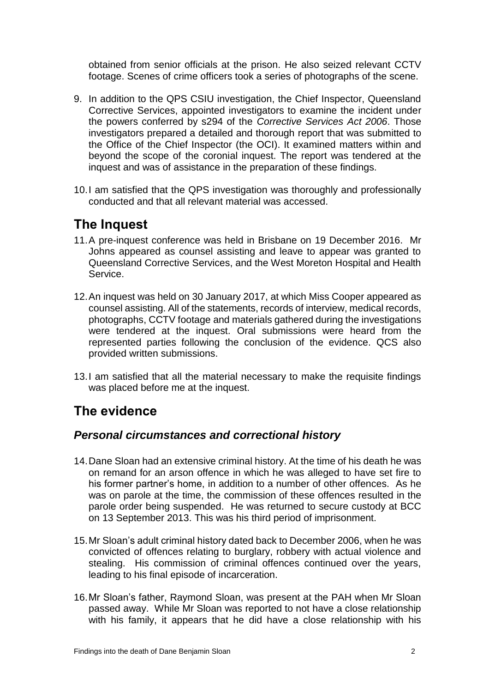obtained from senior officials at the prison. He also seized relevant CCTV footage. Scenes of crime officers took a series of photographs of the scene.

- 9. In addition to the QPS CSIU investigation, the Chief Inspector, Queensland Corrective Services, appointed investigators to examine the incident under the powers conferred by s294 of the *Corrective Services Act 2006*. Those investigators prepared a detailed and thorough report that was submitted to the Office of the Chief Inspector (the OCI). It examined matters within and beyond the scope of the coronial inquest. The report was tendered at the inquest and was of assistance in the preparation of these findings.
- 10.I am satisfied that the QPS investigation was thoroughly and professionally conducted and that all relevant material was accessed.

## <span id="page-3-0"></span>**The Inquest**

- 11.A pre-inquest conference was held in Brisbane on 19 December 2016. Mr Johns appeared as counsel assisting and leave to appear was granted to Queensland Corrective Services, and the West Moreton Hospital and Health Service.
- 12.An inquest was held on 30 January 2017, at which Miss Cooper appeared as counsel assisting. All of the statements, records of interview, medical records, photographs, CCTV footage and materials gathered during the investigations were tendered at the inquest. Oral submissions were heard from the represented parties following the conclusion of the evidence. QCS also provided written submissions.
- 13.I am satisfied that all the material necessary to make the requisite findings was placed before me at the inquest.

## <span id="page-3-1"></span>**The evidence**

#### <span id="page-3-2"></span>*Personal circumstances and correctional history*

- 14.Dane Sloan had an extensive criminal history. At the time of his death he was on remand for an arson offence in which he was alleged to have set fire to his former partner's home, in addition to a number of other offences. As he was on parole at the time, the commission of these offences resulted in the parole order being suspended. He was returned to secure custody at BCC on 13 September 2013. This was his third period of imprisonment.
- 15.Mr Sloan's adult criminal history dated back to December 2006, when he was convicted of offences relating to burglary, robbery with actual violence and stealing. His commission of criminal offences continued over the years, leading to his final episode of incarceration.
- 16.Mr Sloan's father, Raymond Sloan, was present at the PAH when Mr Sloan passed away. While Mr Sloan was reported to not have a close relationship with his family, it appears that he did have a close relationship with his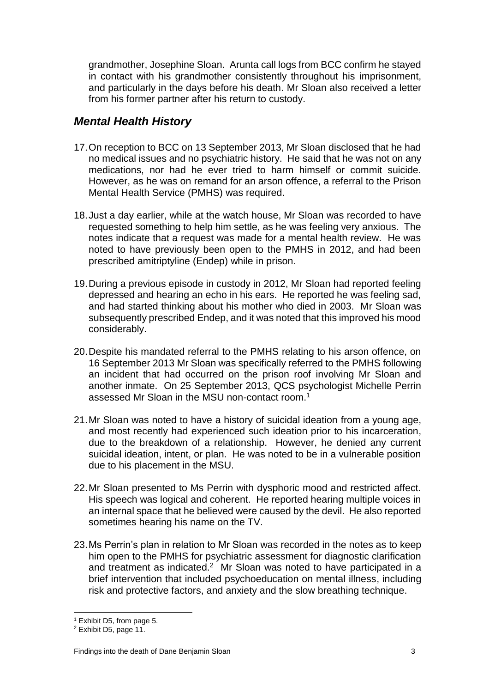grandmother, Josephine Sloan. Arunta call logs from BCC confirm he stayed in contact with his grandmother consistently throughout his imprisonment, and particularly in the days before his death. Mr Sloan also received a letter from his former partner after his return to custody.

### <span id="page-4-0"></span>*Mental Health History*

- 17.On reception to BCC on 13 September 2013, Mr Sloan disclosed that he had no medical issues and no psychiatric history. He said that he was not on any medications, nor had he ever tried to harm himself or commit suicide. However, as he was on remand for an arson offence, a referral to the Prison Mental Health Service (PMHS) was required.
- 18.Just a day earlier, while at the watch house, Mr Sloan was recorded to have requested something to help him settle, as he was feeling very anxious. The notes indicate that a request was made for a mental health review. He was noted to have previously been open to the PMHS in 2012, and had been prescribed amitriptyline (Endep) while in prison.
- 19.During a previous episode in custody in 2012, Mr Sloan had reported feeling depressed and hearing an echo in his ears. He reported he was feeling sad, and had started thinking about his mother who died in 2003. Mr Sloan was subsequently prescribed Endep, and it was noted that this improved his mood considerably.
- 20.Despite his mandated referral to the PMHS relating to his arson offence, on 16 September 2013 Mr Sloan was specifically referred to the PMHS following an incident that had occurred on the prison roof involving Mr Sloan and another inmate. On 25 September 2013, QCS psychologist Michelle Perrin assessed Mr Sloan in the MSU non-contact room. 1
- 21.Mr Sloan was noted to have a history of suicidal ideation from a young age, and most recently had experienced such ideation prior to his incarceration, due to the breakdown of a relationship. However, he denied any current suicidal ideation, intent, or plan. He was noted to be in a vulnerable position due to his placement in the MSU.
- 22.Mr Sloan presented to Ms Perrin with dysphoric mood and restricted affect. His speech was logical and coherent. He reported hearing multiple voices in an internal space that he believed were caused by the devil. He also reported sometimes hearing his name on the TV.
- 23.Ms Perrin's plan in relation to Mr Sloan was recorded in the notes as to keep him open to the PMHS for psychiatric assessment for diagnostic clarification and treatment as indicated.<sup>2</sup> Mr Sloan was noted to have participated in a brief intervention that included psychoeducation on mental illness, including risk and protective factors, and anxiety and the slow breathing technique.

 $\overline{a}$ <sup>1</sup> Exhibit D5, from page 5.

<sup>2</sup> Exhibit D5, page 11.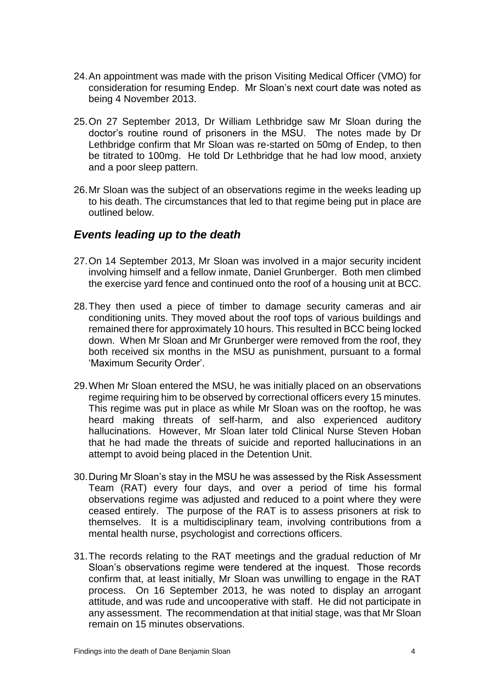- 24.An appointment was made with the prison Visiting Medical Officer (VMO) for consideration for resuming Endep. Mr Sloan's next court date was noted as being 4 November 2013.
- 25.On 27 September 2013, Dr William Lethbridge saw Mr Sloan during the doctor's routine round of prisoners in the MSU. The notes made by Dr Lethbridge confirm that Mr Sloan was re-started on 50mg of Endep, to then be titrated to 100mg. He told Dr Lethbridge that he had low mood, anxiety and a poor sleep pattern.
- 26.Mr Sloan was the subject of an observations regime in the weeks leading up to his death. The circumstances that led to that regime being put in place are outlined below.

#### <span id="page-5-0"></span>*Events leading up to the death*

- 27.On 14 September 2013, Mr Sloan was involved in a major security incident involving himself and a fellow inmate, Daniel Grunberger. Both men climbed the exercise yard fence and continued onto the roof of a housing unit at BCC.
- 28.They then used a piece of timber to damage security cameras and air conditioning units. They moved about the roof tops of various buildings and remained there for approximately 10 hours. This resulted in BCC being locked down. When Mr Sloan and Mr Grunberger were removed from the roof, they both received six months in the MSU as punishment, pursuant to a formal 'Maximum Security Order'.
- 29.When Mr Sloan entered the MSU, he was initially placed on an observations regime requiring him to be observed by correctional officers every 15 minutes. This regime was put in place as while Mr Sloan was on the rooftop, he was heard making threats of self-harm, and also experienced auditory hallucinations. However, Mr Sloan later told Clinical Nurse Steven Hoban that he had made the threats of suicide and reported hallucinations in an attempt to avoid being placed in the Detention Unit.
- 30.During Mr Sloan's stay in the MSU he was assessed by the Risk Assessment Team (RAT) every four days, and over a period of time his formal observations regime was adjusted and reduced to a point where they were ceased entirely. The purpose of the RAT is to assess prisoners at risk to themselves. It is a multidisciplinary team, involving contributions from a mental health nurse, psychologist and corrections officers.
- 31.The records relating to the RAT meetings and the gradual reduction of Mr Sloan's observations regime were tendered at the inquest. Those records confirm that, at least initially, Mr Sloan was unwilling to engage in the RAT process. On 16 September 2013, he was noted to display an arrogant attitude, and was rude and uncooperative with staff. He did not participate in any assessment. The recommendation at that initial stage, was that Mr Sloan remain on 15 minutes observations.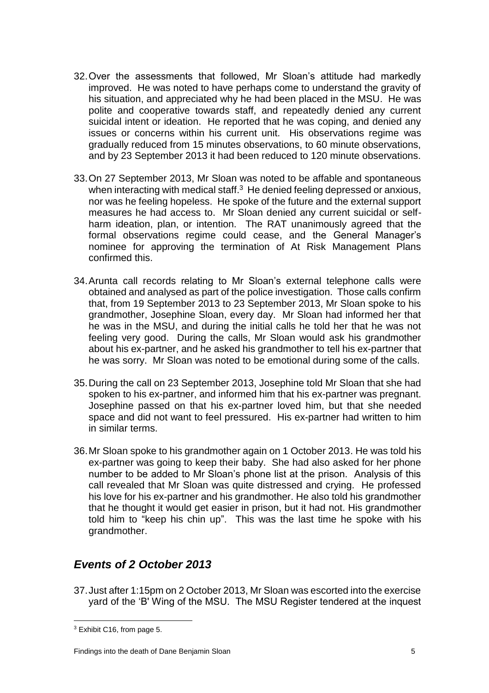- 32.Over the assessments that followed, Mr Sloan's attitude had markedly improved. He was noted to have perhaps come to understand the gravity of his situation, and appreciated why he had been placed in the MSU. He was polite and cooperative towards staff, and repeatedly denied any current suicidal intent or ideation. He reported that he was coping, and denied any issues or concerns within his current unit. His observations regime was gradually reduced from 15 minutes observations, to 60 minute observations, and by 23 September 2013 it had been reduced to 120 minute observations.
- 33.On 27 September 2013, Mr Sloan was noted to be affable and spontaneous when interacting with medical staff. $3$  He denied feeling depressed or anxious, nor was he feeling hopeless. He spoke of the future and the external support measures he had access to. Mr Sloan denied any current suicidal or selfharm ideation, plan, or intention. The RAT unanimously agreed that the formal observations regime could cease, and the General Manager's nominee for approving the termination of At Risk Management Plans confirmed this.
- 34.Arunta call records relating to Mr Sloan's external telephone calls were obtained and analysed as part of the police investigation. Those calls confirm that, from 19 September 2013 to 23 September 2013, Mr Sloan spoke to his grandmother, Josephine Sloan, every day. Mr Sloan had informed her that he was in the MSU, and during the initial calls he told her that he was not feeling very good. During the calls, Mr Sloan would ask his grandmother about his ex-partner, and he asked his grandmother to tell his ex-partner that he was sorry. Mr Sloan was noted to be emotional during some of the calls.
- 35.During the call on 23 September 2013, Josephine told Mr Sloan that she had spoken to his ex-partner, and informed him that his ex-partner was pregnant. Josephine passed on that his ex-partner loved him, but that she needed space and did not want to feel pressured. His ex-partner had written to him in similar terms.
- 36.Mr Sloan spoke to his grandmother again on 1 October 2013. He was told his ex-partner was going to keep their baby. She had also asked for her phone number to be added to Mr Sloan's phone list at the prison. Analysis of this call revealed that Mr Sloan was quite distressed and crying. He professed his love for his ex-partner and his grandmother. He also told his grandmother that he thought it would get easier in prison, but it had not. His grandmother told him to "keep his chin up". This was the last time he spoke with his grandmother.

### <span id="page-6-0"></span>*Events of 2 October 2013*

37.Just after 1:15pm on 2 October 2013, Mr Sloan was escorted into the exercise yard of the 'B' Wing of the MSU. The MSU Register tendered at the inquest

 $\overline{a}$  $3$  Exhibit C16, from page 5.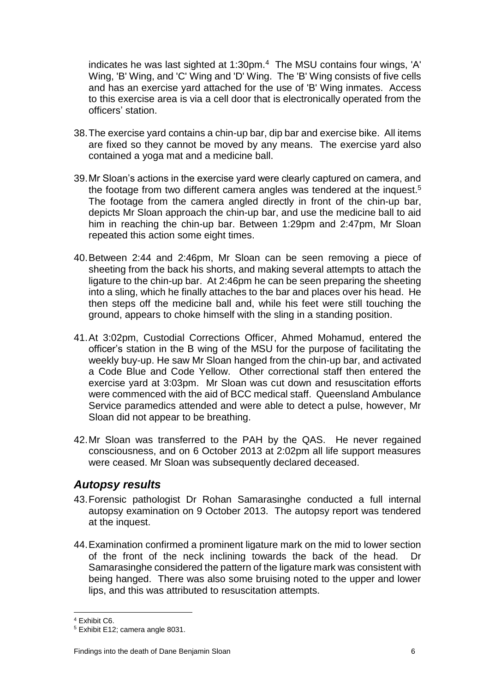indicates he was last sighted at 1:30pm. $4$  The MSU contains four wings, 'A' Wing, 'B' Wing, and 'C' Wing and 'D' Wing. The 'B' Wing consists of five cells and has an exercise yard attached for the use of 'B' Wing inmates. Access to this exercise area is via a cell door that is electronically operated from the officers' station.

- 38.The exercise yard contains a chin-up bar, dip bar and exercise bike. All items are fixed so they cannot be moved by any means. The exercise yard also contained a yoga mat and a medicine ball.
- 39.Mr Sloan's actions in the exercise yard were clearly captured on camera, and the footage from two different camera angles was tendered at the inquest.<sup>5</sup> The footage from the camera angled directly in front of the chin-up bar, depicts Mr Sloan approach the chin-up bar, and use the medicine ball to aid him in reaching the chin-up bar. Between 1:29pm and 2:47pm, Mr Sloan repeated this action some eight times.
- 40.Between 2:44 and 2:46pm, Mr Sloan can be seen removing a piece of sheeting from the back his shorts, and making several attempts to attach the ligature to the chin-up bar. At 2:46pm he can be seen preparing the sheeting into a sling, which he finally attaches to the bar and places over his head. He then steps off the medicine ball and, while his feet were still touching the ground, appears to choke himself with the sling in a standing position.
- 41.At 3:02pm, Custodial Corrections Officer, Ahmed Mohamud, entered the officer's station in the B wing of the MSU for the purpose of facilitating the weekly buy-up. He saw Mr Sloan hanged from the chin-up bar, and activated a Code Blue and Code Yellow. Other correctional staff then entered the exercise yard at 3:03pm. Mr Sloan was cut down and resuscitation efforts were commenced with the aid of BCC medical staff. Queensland Ambulance Service paramedics attended and were able to detect a pulse, however, Mr Sloan did not appear to be breathing.
- 42.Mr Sloan was transferred to the PAH by the QAS. He never regained consciousness, and on 6 October 2013 at 2:02pm all life support measures were ceased. Mr Sloan was subsequently declared deceased.

#### <span id="page-7-0"></span>*Autopsy results*

- 43.Forensic pathologist Dr Rohan Samarasinghe conducted a full internal autopsy examination on 9 October 2013. The autopsy report was tendered at the inquest.
- 44.Examination confirmed a prominent ligature mark on the mid to lower section of the front of the neck inclining towards the back of the head. Dr Samarasinghe considered the pattern of the ligature mark was consistent with being hanged. There was also some bruising noted to the upper and lower lips, and this was attributed to resuscitation attempts.

 $\overline{a}$ <sup>4</sup> Exhibit C6.

<sup>5</sup> Exhibit E12; camera angle 8031.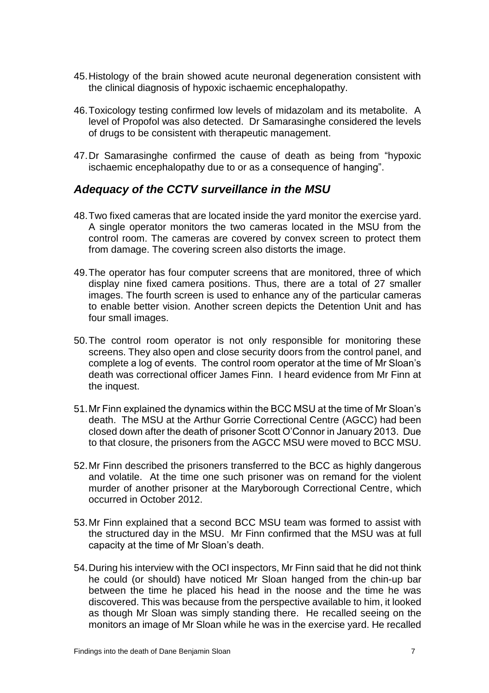- 45.Histology of the brain showed acute neuronal degeneration consistent with the clinical diagnosis of hypoxic ischaemic encephalopathy.
- 46.Toxicology testing confirmed low levels of midazolam and its metabolite. A level of Propofol was also detected. Dr Samarasinghe considered the levels of drugs to be consistent with therapeutic management.
- 47.Dr Samarasinghe confirmed the cause of death as being from "hypoxic ischaemic encephalopathy due to or as a consequence of hanging".

#### <span id="page-8-0"></span>*Adequacy of the CCTV surveillance in the MSU*

- 48.Two fixed cameras that are located inside the yard monitor the exercise yard. A single operator monitors the two cameras located in the MSU from the control room. The cameras are covered by convex screen to protect them from damage. The covering screen also distorts the image.
- 49.The operator has four computer screens that are monitored, three of which display nine fixed camera positions. Thus, there are a total of 27 smaller images. The fourth screen is used to enhance any of the particular cameras to enable better vision. Another screen depicts the Detention Unit and has four small images.
- 50.The control room operator is not only responsible for monitoring these screens. They also open and close security doors from the control panel, and complete a log of events. The control room operator at the time of Mr Sloan's death was correctional officer James Finn. I heard evidence from Mr Finn at the inquest.
- 51.Mr Finn explained the dynamics within the BCC MSU at the time of Mr Sloan's death. The MSU at the Arthur Gorrie Correctional Centre (AGCC) had been closed down after the death of prisoner Scott O'Connor in January 2013. Due to that closure, the prisoners from the AGCC MSU were moved to BCC MSU.
- 52.Mr Finn described the prisoners transferred to the BCC as highly dangerous and volatile. At the time one such prisoner was on remand for the violent murder of another prisoner at the Maryborough Correctional Centre, which occurred in October 2012.
- 53.Mr Finn explained that a second BCC MSU team was formed to assist with the structured day in the MSU. Mr Finn confirmed that the MSU was at full capacity at the time of Mr Sloan's death.
- 54.During his interview with the OCI inspectors, Mr Finn said that he did not think he could (or should) have noticed Mr Sloan hanged from the chin-up bar between the time he placed his head in the noose and the time he was discovered. This was because from the perspective available to him, it looked as though Mr Sloan was simply standing there. He recalled seeing on the monitors an image of Mr Sloan while he was in the exercise yard. He recalled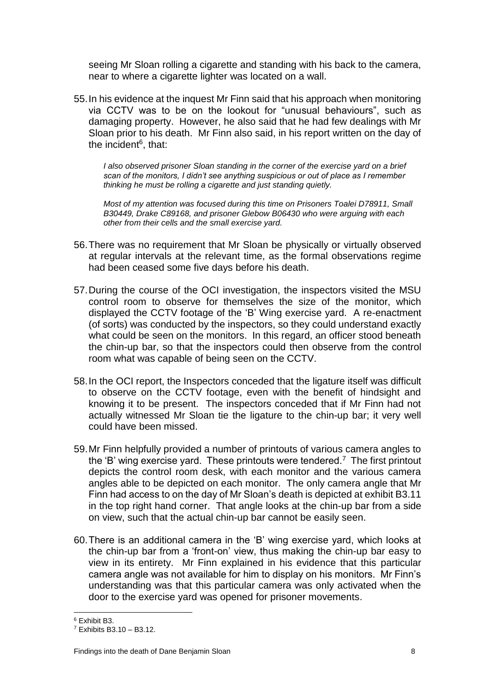seeing Mr Sloan rolling a cigarette and standing with his back to the camera, near to where a cigarette lighter was located on a wall.

55.In his evidence at the inquest Mr Finn said that his approach when monitoring via CCTV was to be on the lookout for "unusual behaviours", such as damaging property. However, he also said that he had few dealings with Mr Sloan prior to his death. Mr Finn also said, in his report written on the day of the incident<sup>6</sup>, that:

*I also observed prisoner Sloan standing in the corner of the exercise yard on a brief scan of the monitors, I didn't see anything suspicious or out of place as I remember thinking he must be rolling a cigarette and just standing quietly.* 

*Most of my attention was focused during this time on Prisoners Toalei D78911, Small B30449, Drake C89168, and prisoner Glebow B06430 who were arguing with each other from their cells and the small exercise yard.*

- 56.There was no requirement that Mr Sloan be physically or virtually observed at regular intervals at the relevant time, as the formal observations regime had been ceased some five days before his death.
- 57.During the course of the OCI investigation, the inspectors visited the MSU control room to observe for themselves the size of the monitor, which displayed the CCTV footage of the 'B' Wing exercise yard. A re-enactment (of sorts) was conducted by the inspectors, so they could understand exactly what could be seen on the monitors. In this regard, an officer stood beneath the chin-up bar, so that the inspectors could then observe from the control room what was capable of being seen on the CCTV.
- 58.In the OCI report, the Inspectors conceded that the ligature itself was difficult to observe on the CCTV footage, even with the benefit of hindsight and knowing it to be present. The inspectors conceded that if Mr Finn had not actually witnessed Mr Sloan tie the ligature to the chin-up bar; it very well could have been missed.
- 59.Mr Finn helpfully provided a number of printouts of various camera angles to the 'B' wing exercise yard. These printouts were tendered.<sup>7</sup> The first printout depicts the control room desk, with each monitor and the various camera angles able to be depicted on each monitor. The only camera angle that Mr Finn had access to on the day of Mr Sloan's death is depicted at exhibit B3.11 in the top right hand corner. That angle looks at the chin-up bar from a side on view, such that the actual chin-up bar cannot be easily seen.
- 60.There is an additional camera in the 'B' wing exercise yard, which looks at the chin-up bar from a 'front-on' view, thus making the chin-up bar easy to view in its entirety. Mr Finn explained in his evidence that this particular camera angle was not available for him to display on his monitors. Mr Finn's understanding was that this particular camera was only activated when the door to the exercise yard was opened for prisoner movements.

 $\overline{a}$ <sup>6</sup> Exhibit B3.

<sup>7</sup> Exhibits B3.10 – B3.12.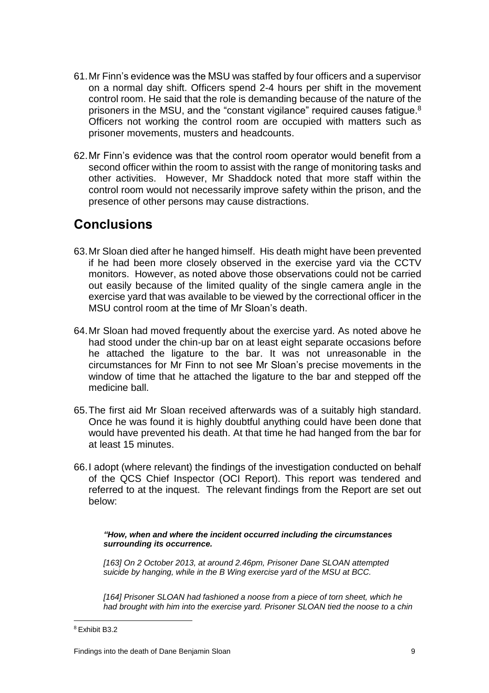- 61.Mr Finn's evidence was the MSU was staffed by four officers and a supervisor on a normal day shift. Officers spend 2-4 hours per shift in the movement control room. He said that the role is demanding because of the nature of the prisoners in the MSU, and the "constant vigilance" required causes fatigue.<sup>8</sup> Officers not working the control room are occupied with matters such as prisoner movements, musters and headcounts.
- 62.Mr Finn's evidence was that the control room operator would benefit from a second officer within the room to assist with the range of monitoring tasks and other activities. However, Mr Shaddock noted that more staff within the control room would not necessarily improve safety within the prison, and the presence of other persons may cause distractions.

### <span id="page-10-0"></span>**Conclusions**

- 63.Mr Sloan died after he hanged himself. His death might have been prevented if he had been more closely observed in the exercise yard via the CCTV monitors. However, as noted above those observations could not be carried out easily because of the limited quality of the single camera angle in the exercise yard that was available to be viewed by the correctional officer in the MSU control room at the time of Mr Sloan's death.
- 64.Mr Sloan had moved frequently about the exercise yard. As noted above he had stood under the chin-up bar on at least eight separate occasions before he attached the ligature to the bar. It was not unreasonable in the circumstances for Mr Finn to not see Mr Sloan's precise movements in the window of time that he attached the ligature to the bar and stepped off the medicine ball.
- 65.The first aid Mr Sloan received afterwards was of a suitably high standard. Once he was found it is highly doubtful anything could have been done that would have prevented his death. At that time he had hanged from the bar for at least 15 minutes.
- 66.I adopt (where relevant) the findings of the investigation conducted on behalf of the QCS Chief Inspector (OCI Report). This report was tendered and referred to at the inquest. The relevant findings from the Report are set out below:

*"How, when and where the incident occurred including the circumstances surrounding its occurrence.* 

*[163] On 2 October 2013, at around 2.46pm, Prisoner Dane SLOAN attempted suicide by hanging, while in the B Wing exercise yard of the MSU at BCC.* 

*[164] Prisoner SLOAN had fashioned a noose from a piece of torn sheet, which he had brought with him into the exercise yard. Prisoner SLOAN tied the noose to a chin* 

 $\overline{a}$ <sup>8</sup> Exhibit B3.2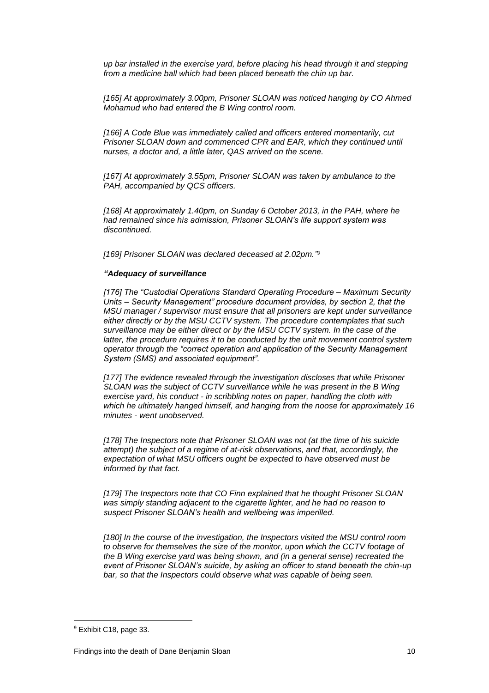*up bar installed in the exercise yard, before placing his head through it and stepping from a medicine ball which had been placed beneath the chin up bar.* 

*[165] At approximately 3.00pm, Prisoner SLOAN was noticed hanging by CO Ahmed Mohamud who had entered the B Wing control room.* 

*[166] A Code Blue was immediately called and officers entered momentarily, cut*  **Prisoner SLOAN down and commenced CPR and EAR, which they continued until** *nurses, a doctor and, a little later, QAS arrived on the scene.* 

*[167] At approximately 3.55pm, Prisoner SLOAN was taken by ambulance to the PAH, accompanied by QCS officers.* 

*[168] At approximately 1.40pm, on Sunday 6 October 2013, in the PAH, where he had remained since his admission, Prisoner SLOAN's life support system was discontinued.* 

*[169] Prisoner SLOAN was declared deceased at 2.02pm." 9*

#### *"Adequacy of surveillance*

*[176] The "Custodial Operations Standard Operating Procedure – Maximum Security Units – Security Management" procedure document provides, by section 2, that the MSU manager / supervisor must ensure that all prisoners are kept under surveillance either directly or by the MSU CCTV system. The procedure contemplates that such surveillance may be either direct or by the MSU CCTV system. In the case of the latter, the procedure requires it to be conducted by the unit movement control system operator through the "correct operation and application of the Security Management System (SMS) and associated equipment".* 

[177] The evidence revealed through the investigation discloses that while Prisoner *SLOAN was the subject of CCTV surveillance while he was present in the B Wing exercise yard, his conduct - in scribbling notes on paper, handling the cloth with which he ultimately hanged himself, and hanging from the noose for approximately 16 minutes - went unobserved.* 

*[178] The Inspectors note that Prisoner SLOAN was not (at the time of his suicide attempt) the subject of a regime of at-risk observations, and that, accordingly, the expectation of what MSU officers ought be expected to have observed must be informed by that fact.* 

*[179] The Inspectors note that CO Finn explained that he thought Prisoner SLOAN*  was simply standing adjacent to the cigarette lighter, and he had no reason to *suspect Prisoner SLOAN's health and wellbeing was imperilled.* 

*[180] In the course of the investigation, the Inspectors visited the MSU control room to observe for themselves the size of the monitor, upon which the CCTV footage of the B Wing exercise yard was being shown, and (in a general sense) recreated the event of Prisoner SLOAN's suicide, by asking an officer to stand beneath the chin-up bar, so that the Inspectors could observe what was capable of being seen.* 

 $\overline{a}$ 

<sup>9</sup> Exhibit C18, page 33.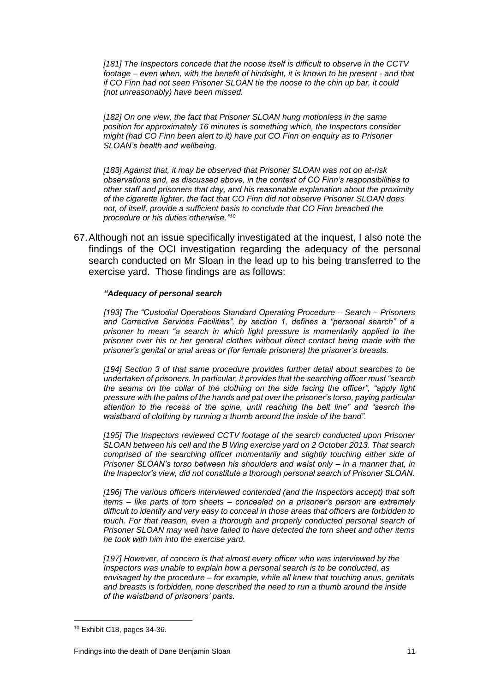*[181] The Inspectors concede that the noose itself is difficult to observe in the CCTV footage – even when, with the benefit of hindsight, it is known to be present - and that if CO Finn had not seen Prisoner SLOAN tie the noose to the chin up bar, it could (not unreasonably) have been missed.* 

*[182] On one view, the fact that Prisoner SLOAN hung motionless in the same position for approximately 16 minutes is something which, the Inspectors consider might (had CO Finn been alert to it) have put CO Finn on enquiry as to Prisoner SLOAN's health and wellbeing.* 

*[183] Against that, it may be observed that Prisoner SLOAN was not on at-risk observations and, as discussed above, in the context of CO Finn's responsibilities to other staff and prisoners that day, and his reasonable explanation about the proximity of the cigarette lighter, the fact that CO Finn did not observe Prisoner SLOAN does not, of itself, provide a sufficient basis to conclude that CO Finn breached the procedure or his duties otherwise." 10*

67.Although not an issue specifically investigated at the inquest, I also note the findings of the OCI investigation regarding the adequacy of the personal search conducted on Mr Sloan in the lead up to his being transferred to the exercise yard. Those findings are as follows:

#### *"Adequacy of personal search*

*[193] The "Custodial Operations Standard Operating Procedure – Search – Prisoners and Corrective Services Facilities", by section 1, defines a "personal search" of a prisoner to mean "a search in which light pressure is momentarily applied to the prisoner over his or her general clothes without direct contact being made with the prisoner's genital or anal areas or (for female prisoners) the prisoner's breasts.* 

*[194] Section 3 of that same procedure provides further detail about searches to be undertaken of prisoners. In particular, it provides that the searching officer must "search the seams on the collar of the clothing on the side facing the officer", "apply light pressure with the palms of the hands and pat over the prisoner's torso, paying particular attention to the recess of the spine, until reaching the belt line" and "search the waistband of clothing by running a thumb around the inside of the band".* 

*[195] The Inspectors reviewed CCTV footage of the search conducted upon Prisoner SLOAN between his cell and the B Wing exercise yard on 2 October 2013. That search*  comprised of the searching officer momentarily and slightly touching either side of *Prisoner SLOAN's torso between his shoulders and waist only – in a manner that, in the Inspector's view, did not constitute a thorough personal search of Prisoner SLOAN.* 

*[196] The various officers interviewed contended (and the Inspectors accept) that soft items – like parts of torn sheets – concealed on a prisoner's person are extremely difficult to identify and very easy to conceal in those areas that officers are forbidden to*  touch. For that reason, even a thorough and properly conducted personal search of *Prisoner SLOAN may well have failed to have detected the torn sheet and other items he took with him into the exercise yard.* 

*[197] However, of concern is that almost every officer who was interviewed by the Inspectors was unable to explain how a personal search is to be conducted, as envisaged by the procedure – for example, while all knew that touching anus, genitals and breasts is forbidden, none described the need to run a thumb around the inside of the waistband of prisoners' pants.* 

 $\overline{a}$ 

<sup>10</sup> Exhibit C18, pages 34-36.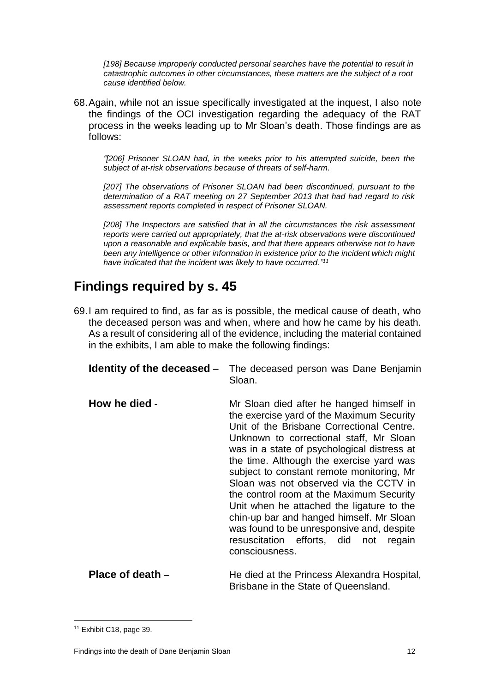*[198] Because improperly conducted personal searches have the potential to result in catastrophic outcomes in other circumstances, these matters are the subject of a root cause identified below.* 

68.Again, while not an issue specifically investigated at the inquest, I also note the findings of the OCI investigation regarding the adequacy of the RAT process in the weeks leading up to Mr Sloan's death. Those findings are as follows:

*"[206] Prisoner SLOAN had, in the weeks prior to his attempted suicide, been the subject of at-risk observations because of threats of self-harm.* 

*[207] The observations of Prisoner SLOAN had been discontinued, pursuant to the determination of a RAT meeting on 27 September 2013 that had had regard to risk assessment reports completed in respect of Prisoner SLOAN.* 

[208] The Inspectors are satisfied that in all the circumstances the risk assessment *reports were carried out appropriately, that the at-risk observations were discontinued upon a reasonable and explicable basis, and that there appears otherwise not to have been any intelligence or other information in existence prior to the incident which might have indicated that the incident was likely to have occurred." 11*

### **Findings required by s. 45**

69.I am required to find, as far as is possible, the medical cause of death, who the deceased person was and when, where and how he came by his death. As a result of considering all of the evidence, including the material contained in the exhibits, I am able to make the following findings:

<span id="page-13-1"></span><span id="page-13-0"></span>

| Identity of the deceased – | The deceased person was Dane Benjamin<br>Sloan.                                                                                                                                                                                                                                                                                                                                                                                                                                                                                                                                                                 |
|----------------------------|-----------------------------------------------------------------------------------------------------------------------------------------------------------------------------------------------------------------------------------------------------------------------------------------------------------------------------------------------------------------------------------------------------------------------------------------------------------------------------------------------------------------------------------------------------------------------------------------------------------------|
| How he died -              | Mr Sloan died after he hanged himself in<br>the exercise yard of the Maximum Security<br>Unit of the Brisbane Correctional Centre.<br>Unknown to correctional staff, Mr Sloan<br>was in a state of psychological distress at<br>the time. Although the exercise yard was<br>subject to constant remote monitoring, Mr<br>Sloan was not observed via the CCTV in<br>the control room at the Maximum Security<br>Unit when he attached the ligature to the<br>chin-up bar and hanged himself. Mr Sloan<br>was found to be unresponsive and, despite<br>resuscitation efforts, did not<br>regain<br>consciousness. |

<span id="page-13-2"></span>**Place of death** – **He died at the Princess Alexandra Hospital,** Brisbane in the State of Queensland.

 $\overline{a}$ <sup>11</sup> Exhibit C18, page 39.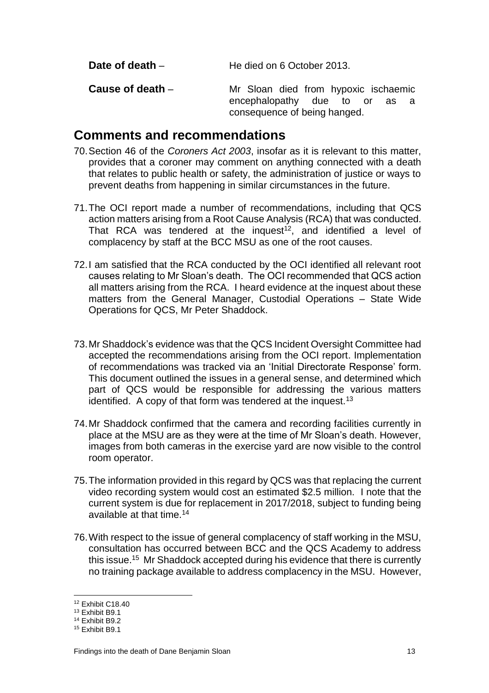<span id="page-14-1"></span><span id="page-14-0"></span>

| Date of death $-$  | He died on 6 October 2013.                                                                               |
|--------------------|----------------------------------------------------------------------------------------------------------|
| Cause of death $-$ | Mr Sloan died from hypoxic ischaemic<br>encephalopathy due to or<br>as a<br>consequence of being hanged. |

### <span id="page-14-2"></span>**Comments and recommendations**

- 70.Section 46 of the *Coroners Act 2003*, insofar as it is relevant to this matter, provides that a coroner may comment on anything connected with a death that relates to public health or safety, the administration of justice or ways to prevent deaths from happening in similar circumstances in the future.
- 71.The OCI report made a number of recommendations, including that QCS action matters arising from a Root Cause Analysis (RCA) that was conducted. That RCA was tendered at the inquest<sup>12</sup>, and identified a level of complacency by staff at the BCC MSU as one of the root causes.
- 72.I am satisfied that the RCA conducted by the OCI identified all relevant root causes relating to Mr Sloan's death. The OCI recommended that QCS action all matters arising from the RCA. I heard evidence at the inquest about these matters from the General Manager, Custodial Operations – State Wide Operations for QCS, Mr Peter Shaddock.
- 73.Mr Shaddock's evidence was that the QCS Incident Oversight Committee had accepted the recommendations arising from the OCI report. Implementation of recommendations was tracked via an 'Initial Directorate Response' form. This document outlined the issues in a general sense, and determined which part of QCS would be responsible for addressing the various matters identified. A copy of that form was tendered at the inquest.<sup>13</sup>
- 74.Mr Shaddock confirmed that the camera and recording facilities currently in place at the MSU are as they were at the time of Mr Sloan's death. However, images from both cameras in the exercise yard are now visible to the control room operator.
- 75.The information provided in this regard by QCS was that replacing the current video recording system would cost an estimated \$2.5 million. I note that the current system is due for replacement in 2017/2018, subject to funding being available at that time.<sup>14</sup>
- 76.With respect to the issue of general complacency of staff working in the MSU, consultation has occurred between BCC and the QCS Academy to address this issue.<sup>15</sup> Mr Shaddock accepted during his evidence that there is currently no training package available to address complacency in the MSU. However,

 $\overline{a}$ 

<sup>12</sup> Exhibit C18.40

<sup>13</sup> Exhibit B9.1

<sup>14</sup> Exhibit B9.2

<sup>15</sup> Exhibit B9.1